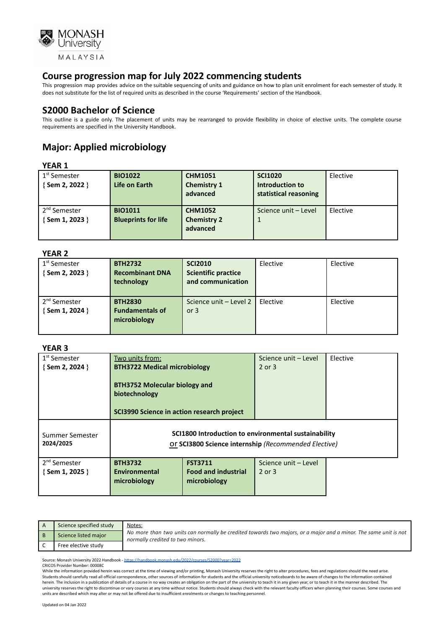

This progression map provides advice on the suitable sequencing of units and guidance on how to plan unit enrolment for each semester of study. It does not substitute for the list of required units as described in the course 'Requirements' section of the Handbook.

# **S2000 Bachelor of Science**

This outline is a guide only. The placement of units may be rearranged to provide flexibility in choice of elective units. The complete course requirements are specified in the University Handbook.

# **Major: Applied microbiology**

### **YEAR 1**

| 1 <sup>st</sup> Semester<br>{Sem 2, 2022 } | <b>BIO1022</b><br>Life on Earth              | <b>CHM1051</b><br><b>Chemistry 1</b><br>advanced | <b>SCI1020</b><br>Introduction to<br>statistical reasoning | Elective |
|--------------------------------------------|----------------------------------------------|--------------------------------------------------|------------------------------------------------------------|----------|
| 2 <sup>nd</sup> Semester<br>{Sem 1, 2023 } | <b>BIO1011</b><br><b>Blueprints for life</b> | <b>CHM1052</b><br><b>Chemistry 2</b><br>advanced | Science unit - Level                                       | Elective |

### **YEAR 2**

| <b>BTH2732</b>         | <b>SCI2010</b>             | Elective | Elective |
|------------------------|----------------------------|----------|----------|
| <b>Recombinant DNA</b> | <b>Scientific practice</b> |          |          |
| technology             | and communication          |          |          |
|                        |                            |          |          |
| <b>BTH2830</b>         | Science unit - Level 2     | Elective | Elective |
| <b>Fundamentals of</b> | or $3$                     |          |          |
| microbiology           |                            |          |          |
|                        |                            |          |          |
|                        |                            |          |          |

## **YEAR 3**

| 1 <sup>st</sup> Semester     | Two units from:                                                                                              |                            | Science unit - Level | Elective |
|------------------------------|--------------------------------------------------------------------------------------------------------------|----------------------------|----------------------|----------|
| $\{$ Sem 2, 2024 $\}$        | <b>BTH3722 Medical microbiology</b>                                                                          |                            | 2 or 3               |          |
|                              | <b>BTH3752 Molecular biology and</b><br>biotechnology<br><b>SCI3990 Science in action research project</b>   |                            |                      |          |
| Summer Semester<br>2024/2025 | SCI1800 Introduction to environmental sustainability<br>Or SCI3800 Science internship (Recommended Elective) |                            |                      |          |
| 2 <sup>nd</sup> Semester     | <b>BTH3732</b>                                                                                               | <b>FST3711</b>             | Science unit - Level |          |
| $\{$ Sem 1, 2025 $\}$        | <b>Environmental</b>                                                                                         | <b>Food and industrial</b> | 2 or 3               |          |
|                              | microbiology                                                                                                 | microbiology               |                      |          |
|                              |                                                                                                              |                            |                      |          |

| Science specified study | Notes:<br>No more than two units can normally be credited towards two majors, or a major and a minor. The same unit is not<br>normally credited to two minors. |
|-------------------------|----------------------------------------------------------------------------------------------------------------------------------------------------------------|
| Science listed major    |                                                                                                                                                                |
| Free elective study     |                                                                                                                                                                |

Source: Monash University 2022 Handbook - <https://handbook.monash.edu/2022/courses/S2000?year=2022>

CRICOS Provider Number: 00008C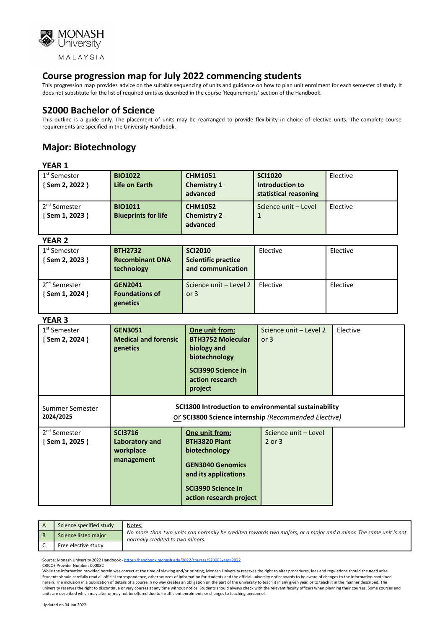

This progression map provides advice on the suitable sequencing of units and guidance on how to plan unit enrolment for each semester of study. It does not substitute for the list of required units as described in the course 'Requirements' section of the Handbook.

# **S2000 Bachelor of Science**

This outline is a guide only. The placement of units may be rearranged to provide flexibility in choice of elective units. The complete course requirements are specified in the University Handbook.

# **Major: Biotechnology**

## **YEAR 1**

| 1 <sup>st</sup> Semester<br>{Sem 2, 2022 }        | <b>BIO1022</b><br>Life on Earth              | <b>CHM1051</b><br><b>Chemistry 1</b><br>advanced | <b>SCI1020</b><br>Introduction to<br>statistical reasoning | Elective |
|---------------------------------------------------|----------------------------------------------|--------------------------------------------------|------------------------------------------------------------|----------|
| 2 <sup>nd</sup> Semester<br>$\{$ Sem 1, 2023 $\}$ | <b>BIO1011</b><br><b>Blueprints for life</b> | <b>CHM1052</b><br><b>Chemistry 2</b><br>advanced | Science unit - Level                                       | Elective |

#### **YEAR 2**

| 1 <sup>st</sup> Semester | <b>BTH2732</b>         | <b>SCI2010</b>             | Elective | Elective |
|--------------------------|------------------------|----------------------------|----------|----------|
| {Sem 2, 2023 }           | <b>Recombinant DNA</b> | <b>Scientific practice</b> |          |          |
|                          | technology             | and communication          |          |          |
|                          |                        |                            |          |          |
| 2 <sup>nd</sup> Semester | <b>GEN2041</b>         | Science unit - Level 2     | Elective | Elective |
| {Sem 1, 2024 }           | <b>Foundations of</b>  | or $3$                     |          |          |
|                          |                        |                            |          |          |
|                          | genetics               |                            |          |          |
|                          |                        |                            |          |          |

#### **YEAR 3**

| 1 <sup>st</sup> Semester<br>{Sem 2, 2024 }  | <b>GEN3051</b><br><b>Medical and forensic</b><br>genetics                                                    | One unit from:<br><b>BTH3752 Molecular</b><br>biology and<br>biotechnology<br>SCI3990 Science in<br>action research<br>project                              | Science unit - Level 2<br>or $3$ | Elective |
|---------------------------------------------|--------------------------------------------------------------------------------------------------------------|-------------------------------------------------------------------------------------------------------------------------------------------------------------|----------------------------------|----------|
| Summer Semester<br>2024/2025                | SCI1800 Introduction to environmental sustainability<br>Or SCI3800 Science internship (Recommended Elective) |                                                                                                                                                             |                                  |          |
| 2 <sup>nd</sup> Semester<br>{ Sem 1, 2025 } | <b>SCI3716</b><br>Laboratory and<br>workplace<br>management                                                  | One unit from:<br><b>BTH3820 Plant</b><br>biotechnology<br><b>GEN3040 Genomics</b><br>and its applications<br>SCI3990 Science in<br>action research project | Science unit - Level<br>2 or 3   |          |

| Science specified study | Notes:<br>No more than two units can normally be credited towards two majors, or a major and a minor. The same unit is not<br>normally credited to two minors. |
|-------------------------|----------------------------------------------------------------------------------------------------------------------------------------------------------------|
| Science listed major    |                                                                                                                                                                |
| Free elective study     |                                                                                                                                                                |

Source: Monash University 2022 Handbook - <https://handbook.monash.edu/2022/courses/S2000?year=2022>

CRICOS Provider Number: 00008C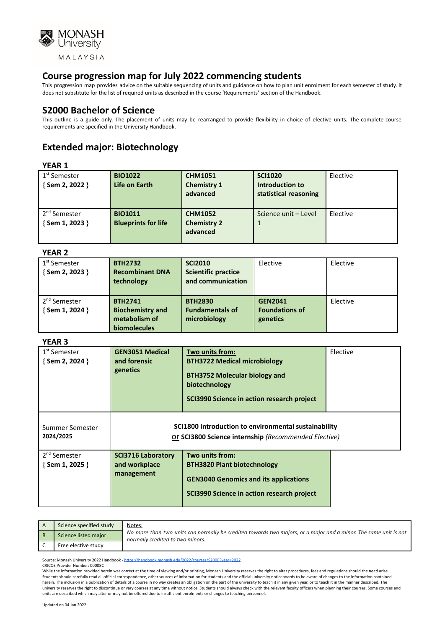

This progression map provides advice on the suitable sequencing of units and guidance on how to plan unit enrolment for each semester of study. It does not substitute for the list of required units as described in the course 'Requirements' section of the Handbook.

# **S2000 Bachelor of Science**

This outline is a guide only. The placement of units may be rearranged to provide flexibility in choice of elective units. The complete course requirements are specified in the University Handbook.

# **Extended major: Biotechnology**

### **YEAR 1**

| 1 <sup>st</sup> Semester<br>{Sem 2, 2022 } | <b>BIO1022</b><br>Life on Earth              | <b>CHM1051</b><br><b>Chemistry 1</b><br>advanced | <b>SCI1020</b><br>Introduction to<br>statistical reasoning | Elective |
|--------------------------------------------|----------------------------------------------|--------------------------------------------------|------------------------------------------------------------|----------|
| 2 <sup>nd</sup> Semester<br>{Sem 1, 2023 } | <b>BIO1011</b><br><b>Blueprints for life</b> | <b>CHM1052</b><br><b>Chemistry 2</b><br>advanced | Science unit - Level                                       | Elective |

## **YEAR 2**

| . LAR 4                                           |                                                                                   |                                                                   |                                                     |          |
|---------------------------------------------------|-----------------------------------------------------------------------------------|-------------------------------------------------------------------|-----------------------------------------------------|----------|
| 1 <sup>st</sup> Semester<br>{Sem 2, 2023 }        | <b>BTH2732</b><br><b>Recombinant DNA</b><br>technology                            | <b>SCI2010</b><br><b>Scientific practice</b><br>and communication | Elective                                            | Elective |
| 2 <sup>nd</sup> Semester<br>$\{$ Sem 1, 2024 $\}$ | <b>BTH2741</b><br><b>Biochemistry and</b><br>metabolism of<br><b>biomolecules</b> | <b>BTH2830</b><br><b>Fundamentals of</b><br>microbiology          | <b>GEN2041</b><br><b>Foundations of</b><br>genetics | Elective |

### **YEAR 3**

| 1 <sup>st</sup> Semester<br>{Sem 2, 2024 } | <b>GEN3051 Medical</b><br>and forensic<br>genetics                                                           | Two units from:<br><b>BTH3722 Medical microbiology</b><br><b>BTH3752 Molecular biology and</b><br>biotechnology<br>SCI3990 Science in action research project | Elective |
|--------------------------------------------|--------------------------------------------------------------------------------------------------------------|---------------------------------------------------------------------------------------------------------------------------------------------------------------|----------|
| Summer Semester<br>2024/2025               | SCI1800 Introduction to environmental sustainability<br>Or SCI3800 Science internship (Recommended Elective) |                                                                                                                                                               |          |
| 2 <sup>nd</sup> Semester<br>{Sem 1, 2025 } | <b>SCI3716 Laboratory</b><br>and workplace<br>management                                                     | Two units from:<br><b>BTH3820 Plant biotechnology</b><br><b>GEN3040 Genomics and its applications</b><br>SCI3990 Science in action research project           |          |

| Science specified study | Notes:<br>No more than two units can normally be credited towards two majors, or a major and a minor. The same unit is not<br>normally credited to two minors. |
|-------------------------|----------------------------------------------------------------------------------------------------------------------------------------------------------------|
| Science listed major    |                                                                                                                                                                |
| Free elective study     |                                                                                                                                                                |

Source: Monash University 2022 Handbook - <https://handbook.monash.edu/2022/courses/S2000?year=2022>

CRICOS Provider Number: 00008C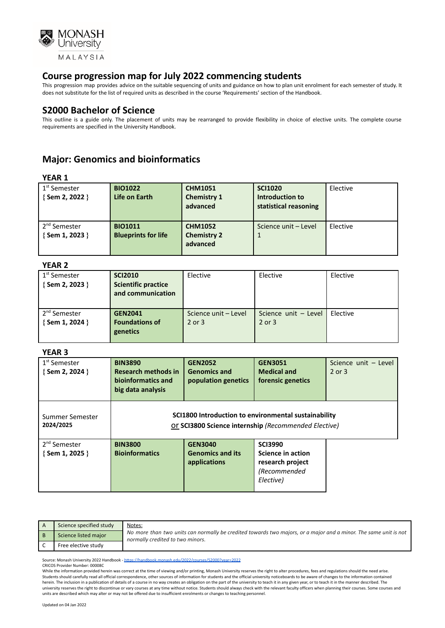

This progression map provides advice on the suitable sequencing of units and guidance on how to plan unit enrolment for each semester of study. It does not substitute for the list of required units as described in the course 'Requirements' section of the Handbook.

## **S2000 Bachelor of Science**

This outline is a guide only. The placement of units may be rearranged to provide flexibility in choice of elective units. The complete course requirements are specified in the University Handbook.

# **Major: Genomics and bioinformatics**

| 1 <sup>st</sup> Semester<br>$\{$ Sem 2, 2022 $\}$ | <b>BIO1022</b><br>Life on Earth              | <b>CHM1051</b><br><b>Chemistry 1</b><br>advanced | <b>SCI1020</b><br>Introduction to<br>statistical reasoning | Elective |
|---------------------------------------------------|----------------------------------------------|--------------------------------------------------|------------------------------------------------------------|----------|
| 2 <sup>nd</sup> Semester<br>{Sem 1, 2023 }        | <b>BIO1011</b><br><b>Blueprints for life</b> | <b>CHM1052</b><br><b>Chemistry 2</b><br>advanced | Science unit - Level                                       | Elective |

## **YEAR 2**

| 1 <sup>st</sup> Semester<br>$\{$ Sem 2, 2023 $\}$ | <b>SCI2010</b><br><b>Scientific practice</b><br>and communication | Elective             | Elective             | Elective |
|---------------------------------------------------|-------------------------------------------------------------------|----------------------|----------------------|----------|
| 2 <sup>nd</sup> Semester                          | <b>GEN2041</b>                                                    | Science unit - Level | Science unit - Level | Elective |
| $\{$ Sem 1, 2024 $\}$                             | <b>Foundations of</b>                                             | 2 or 3               | 2 or 3               |          |
|                                                   | genetics                                                          |                      |                      |          |

#### **YEAR 3**

| 1 <sup>st</sup> Semester<br>$\{$ Sem 2, 2024 $\}$ | <b>BIN3890</b><br><b>Research methods in</b><br>bioinformatics and<br>big data analysis                      | <b>GEN2052</b><br><b>Genomics and</b><br>population genetics | <b>GEN3051</b><br><b>Medical and</b><br>forensic genetics                            | Science unit - Level<br>$2$ or $3$ |
|---------------------------------------------------|--------------------------------------------------------------------------------------------------------------|--------------------------------------------------------------|--------------------------------------------------------------------------------------|------------------------------------|
| Summer Semester<br>2024/2025                      | SCI1800 Introduction to environmental sustainability<br>Or SCI3800 Science internship (Recommended Elective) |                                                              |                                                                                      |                                    |
| 2 <sup>nd</sup> Semester<br>$\{$ Sem 1, 2025 $\}$ | <b>BIN3800</b><br><b>Bioinformatics</b>                                                                      | <b>GEN3040</b><br><b>Genomics and its</b><br>applications    | <b>SCI3990</b><br>Science in action<br>research project<br>(Recommended<br>Elective) |                                    |

| Science specified study | Notes:                                                                                                                                               |
|-------------------------|------------------------------------------------------------------------------------------------------------------------------------------------------|
| Science listed major    | No more than two units can normally be credited towards two majors, or a major and a minor. The same unit is not<br>normally credited to two minors. |
| Free elective study     |                                                                                                                                                      |

Source: Monash University 2022 Handbook - <https://handbook.monash.edu/2022/courses/S2000?year=2022>

CRICOS Provider Number: 00008C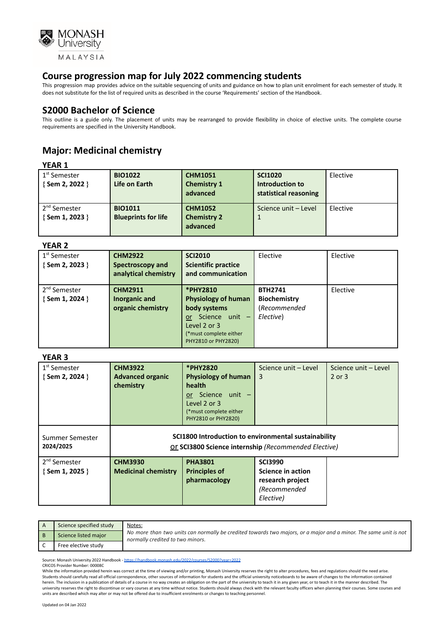

This progression map provides advice on the suitable sequencing of units and guidance on how to plan unit enrolment for each semester of study. It does not substitute for the list of required units as described in the course 'Requirements' section of the Handbook.

# **S2000 Bachelor of Science**

This outline is a guide only. The placement of units may be rearranged to provide flexibility in choice of elective units. The complete course requirements are specified in the University Handbook.

# **Major: Medicinal chemistry**

# **YEAR 1**

| .                                          |                                 |                                                  |                                                            |          |
|--------------------------------------------|---------------------------------|--------------------------------------------------|------------------------------------------------------------|----------|
| 1 <sup>st</sup> Semester<br>{Sem 2, 2022 } | <b>BIO1022</b><br>Life on Earth | <b>CHM1051</b><br><b>Chemistry 1</b><br>advanced | <b>SCI1020</b><br>Introduction to<br>statistical reasoning | Elective |
| 2 <sup>nd</sup> Semester                   | <b>BIO1011</b>                  | <b>CHM1052</b>                                   | Science unit - Level                                       | Elective |
| {Sem 1, 2023 }                             | <b>Blueprints for life</b>      | <b>Chemistry 2</b>                               |                                                            |          |
|                                            |                                 | advanced                                         |                                                            |          |

### **YEAR 2**

| 1 <sup>st</sup> Semester<br>{Sem 2, 2023 }        | <b>CHM2922</b><br>Spectroscopy and<br>analytical chemistry | <b>SCI2010</b><br><b>Scientific practice</b><br>and communication                                                                               | Elective                                                    | Elective |
|---------------------------------------------------|------------------------------------------------------------|-------------------------------------------------------------------------------------------------------------------------------------------------|-------------------------------------------------------------|----------|
| 2 <sup>nd</sup> Semester<br>$\{$ Sem 1, 2024 $\}$ | <b>CHM2911</b><br>Inorganic and<br>organic chemistry       | *PHY2810<br><b>Physiology of human</b><br>body systems<br>Science unit -<br>or<br>Level 2 or 3<br>(*must complete either<br>PHY2810 or PHY2820) | <b>BTH2741</b><br>Biochemistry<br>(Recommended<br>Elective) | Elective |

## **YEAR 3**

| $1st$ Semester<br>$\{$ Sem 2, 2024 $\}$           | <b>CHM3922</b><br><b>Advanced organic</b><br>chemistry                                                       | *PHY2820<br><b>Physiology of human</b><br>health<br>Science unit -<br>or -<br>Level 2 or 3<br>(*must complete either<br>PHY2810 or PHY2820) | Science unit - Level<br>3                                                            | Science unit - Level<br>$2$ or $3$ |  |
|---------------------------------------------------|--------------------------------------------------------------------------------------------------------------|---------------------------------------------------------------------------------------------------------------------------------------------|--------------------------------------------------------------------------------------|------------------------------------|--|
| Summer Semester<br>2024/2025                      | SCI1800 Introduction to environmental sustainability<br>Or SCI3800 Science internship (Recommended Elective) |                                                                                                                                             |                                                                                      |                                    |  |
| 2 <sup>nd</sup> Semester<br>$\{$ Sem 1, 2025 $\}$ | <b>CHM3930</b><br><b>Medicinal chemistry</b>                                                                 | <b>PHA3801</b><br><b>Principles of</b><br>pharmacology                                                                                      | <b>SCI3990</b><br>Science in action<br>research project<br>(Recommended<br>Elective) |                                    |  |

| Science specified study | Notes:                                                                                                                                               |
|-------------------------|------------------------------------------------------------------------------------------------------------------------------------------------------|
| Science listed major    | No more than two units can normally be credited towards two majors, or a major and a minor. The same unit is not<br>normally credited to two minors. |
| Free elective study     |                                                                                                                                                      |

Source: Monash University 2022 Handbook - <https://handbook.monash.edu/2022/courses/S2000?year=2022>

CRICOS Provider Number: 00008C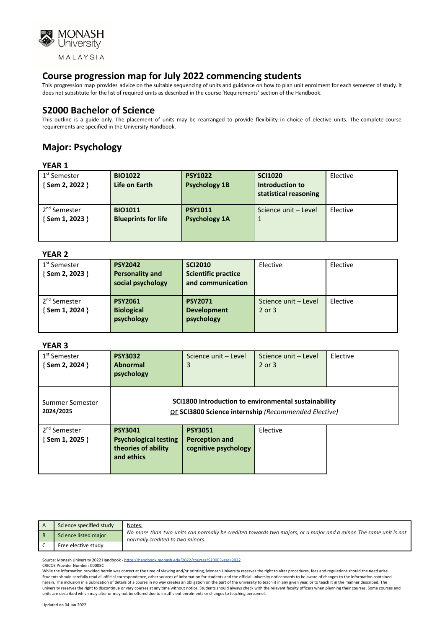

This progression map provides advice on the suitable sequencing of units and guidance on how to plan unit enrolment for each semester of study. It does not substitute for the list of required units as described in the course 'Requirements' section of the Handbook.

# **S2000 Bachelor of Science**

This outline is a guide only. The placement of units may be rearranged to provide flexibility in choice of elective units. The complete course requirements are specified in the University Handbook.

# **Major: Psychology**

## **YEAR 1**

| 1 <sup>st</sup> Semester<br>{ Sem 2, 2022 } | <b>BIO1022</b><br>Life on Earth              | <b>PSY1022</b><br><b>Psychology 1B</b> | <b>SCI1020</b><br>Introduction to<br>statistical reasoning | Elective |
|---------------------------------------------|----------------------------------------------|----------------------------------------|------------------------------------------------------------|----------|
| 2 <sup>nd</sup> Semester<br>{Sem 1, 2023 }  | <b>BIO1011</b><br><b>Blueprints for life</b> | <b>PSY1011</b><br><b>Psychology 1A</b> | Science unit - Level                                       | Elective |

## **YEAR 2**

| .                                           |                                                               |                                                                   |                                |          |
|---------------------------------------------|---------------------------------------------------------------|-------------------------------------------------------------------|--------------------------------|----------|
| 1 <sup>st</sup> Semester<br>{ Sem 2, 2023 } | <b>PSY2042</b><br><b>Personality and</b><br>social psychology | <b>SCI2010</b><br><b>Scientific practice</b><br>and communication | Elective                       | Elective |
| 2 <sup>nd</sup> Semester<br>{ Sem 1, 2024 } | <b>PSY2061</b><br><b>Biological</b><br>psychology             | <b>PSY2071</b><br><b>Development</b><br>psychology                | Science unit - Level<br>2 or 3 | Elective |

#### **YEAR 3**

| 1 <sup>st</sup> Semester<br>{Sem 2, 2024 }  | <b>PSY3032</b><br><b>Abnormal</b><br>psychology                                                              | Science unit - Level<br>3                                | Science unit - Level<br>2 or 3 | Elective |
|---------------------------------------------|--------------------------------------------------------------------------------------------------------------|----------------------------------------------------------|--------------------------------|----------|
| Summer Semester<br>2024/2025                | SCI1800 Introduction to environmental sustainability<br>Or SCI3800 Science internship (Recommended Elective) |                                                          |                                |          |
| 2 <sup>nd</sup> Semester<br>{ Sem 1, 2025 } | <b>PSY3041</b><br><b>Psychological testing</b><br>theories of ability<br>and ethics                          | <b>PSY3051</b><br>Perception and<br>cognitive psychology | Elective                       |          |

| Science specified study | Notes:                                                                                                                                               |
|-------------------------|------------------------------------------------------------------------------------------------------------------------------------------------------|
| Science listed major    | No more than two units can normally be credited towards two majors, or a major and a minor. The same unit is not<br>normally credited to two minors. |
| Free elective study     |                                                                                                                                                      |

Source: Monash University 2022 Handbook - <https://handbook.monash.edu/2022/courses/S2000?year=2022> CRICOS Provider Number: 00008C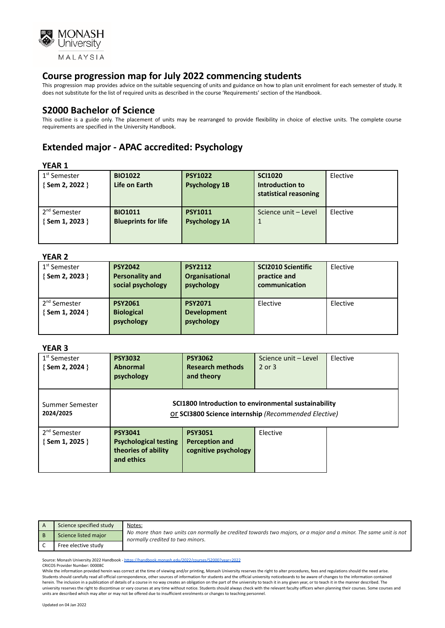

This progression map provides advice on the suitable sequencing of units and guidance on how to plan unit enrolment for each semester of study. It does not substitute for the list of required units as described in the course 'Requirements' section of the Handbook.

# **S2000 Bachelor of Science**

This outline is a guide only. The placement of units may be rearranged to provide flexibility in choice of elective units. The complete course requirements are specified in the University Handbook.

# **Extended major - APAC accredited: Psychology**

### **YEAR 1**

| 1 <sup>st</sup> Semester<br>{ Sem 2, 2022 } | <b>BIO1022</b><br>Life on Earth              | <b>PSY1022</b><br><b>Psychology 1B</b> | <b>SCI1020</b><br>Introduction to<br>statistical reasoning | Elective |
|---------------------------------------------|----------------------------------------------|----------------------------------------|------------------------------------------------------------|----------|
| 2 <sup>nd</sup> Semester<br>{ Sem 1, 2023 } | <b>BIO1011</b><br><b>Blueprints for life</b> | <b>PSY1011</b><br><b>Psychology 1A</b> | Science unit - Level                                       | Elective |

### **YEAR 2**

| .                                           |                                                               |                                                    |                                                            |          |
|---------------------------------------------|---------------------------------------------------------------|----------------------------------------------------|------------------------------------------------------------|----------|
| 1 <sup>st</sup> Semester<br>{Sem 2, 2023 }  | <b>PSY2042</b><br><b>Personality and</b><br>social psychology | <b>PSY2112</b><br>Organisational<br>psychology     | <b>SCI2010 Scientific</b><br>practice and<br>communication | Elective |
| 2 <sup>nd</sup> Semester<br>{ Sem 1, 2024 } | <b>PSY2061</b><br><b>Biological</b><br>psychology             | <b>PSY2071</b><br><b>Development</b><br>psychology | Elective                                                   | Elective |

### **YEAR 3**

| 1 <sup>st</sup> Semester<br>$\{$ Sem 2, 2024 $\}$ | <b>PSY3032</b><br><b>Abnormal</b><br>psychology                                                              | <b>PSY3062</b><br><b>Research methods</b><br>and theory         | Science unit - Level<br>$2$ or $3$ | Elective |
|---------------------------------------------------|--------------------------------------------------------------------------------------------------------------|-----------------------------------------------------------------|------------------------------------|----------|
| Summer Semester<br>2024/2025                      | SCI1800 Introduction to environmental sustainability<br>Or SCI3800 Science internship (Recommended Elective) |                                                                 |                                    |          |
| 2 <sup>nd</sup> Semester<br>$\{$ Sem 1, 2025 $\}$ | <b>PSY3041</b><br><b>Psychological testing</b><br>theories of ability<br>and ethics                          | <b>PSY3051</b><br><b>Perception and</b><br>cognitive psychology | Elective                           |          |

| Science specified study | Notes:                                                                                                                                               |
|-------------------------|------------------------------------------------------------------------------------------------------------------------------------------------------|
| Science listed major    | No more than two units can normally be credited towards two majors, or a major and a minor. The same unit is not<br>normally credited to two minors. |
| Free elective study     |                                                                                                                                                      |

Source: Monash University 2022 Handbook - <https://handbook.monash.edu/2022/courses/S2000?year=2022> CRICOS Provider Number: 00008C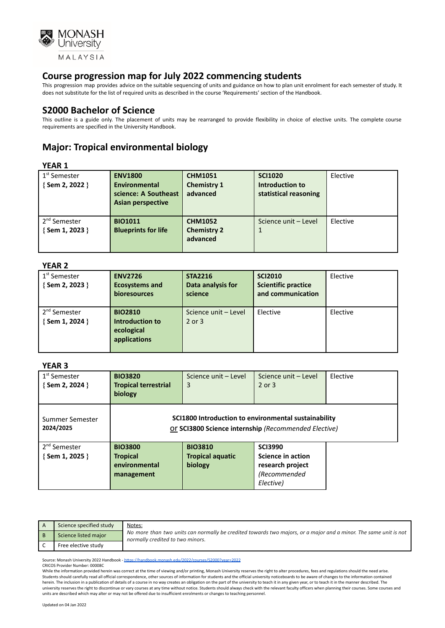

This progression map provides advice on the suitable sequencing of units and guidance on how to plan unit enrolment for each semester of study. It does not substitute for the list of required units as described in the course 'Requirements' section of the Handbook.

# **S2000 Bachelor of Science**

This outline is a guide only. The placement of units may be rearranged to provide flexibility in choice of elective units. The complete course requirements are specified in the University Handbook.

# **Major: Tropical environmental biology**

## **YEAR 1**

| 1 <sup>st</sup> Semester<br>{Sem 2, 2022 } | <b>ENV1800</b><br><b>Environmental</b><br>science: A Southeast | <b>CHM1051</b><br><b>Chemistry 1</b><br>advanced | <b>SCI1020</b><br>Introduction to<br>statistical reasoning | Elective |
|--------------------------------------------|----------------------------------------------------------------|--------------------------------------------------|------------------------------------------------------------|----------|
|                                            | <b>Asian perspective</b>                                       |                                                  |                                                            |          |
|                                            |                                                                |                                                  |                                                            |          |
| 2 <sup>nd</sup> Semester                   | <b>BIO1011</b>                                                 | <b>CHM1052</b>                                   | Science unit - Level                                       | Elective |
| { Sem 1, 2023 }                            | <b>Blueprints for life</b>                                     | <b>Chemistry 2</b>                               |                                                            |          |
|                                            |                                                                |                                                  |                                                            |          |
|                                            |                                                                | advanced                                         |                                                            |          |
|                                            |                                                                |                                                  |                                                            |          |

#### **YEAR 2**

| 1 <sup>st</sup> Semester<br>{Sem 2, 2023 } | <b>ENV2726</b><br><b>Ecosystems and</b><br>bioresources         | <b>STA2216</b><br>Data analysis for<br>science | <b>SCI2010</b><br><b>Scientific practice</b><br>and communication | Elective |
|--------------------------------------------|-----------------------------------------------------------------|------------------------------------------------|-------------------------------------------------------------------|----------|
| 2 <sup>nd</sup> Semester<br>{Sem 1, 2024 } | <b>BIO2810</b><br>Introduction to<br>ecological<br>applications | Science unit - Level<br>$2$ or $3$             | Elective                                                          | Elective |

## **YEAR 3**

| 1 <sup>st</sup> Semester<br>{Sem 2, 2024 }  | <b>BIO3820</b><br><b>Tropical terrestrial</b><br>biology                                                     | Science unit - Level<br>3                            | Science unit - Level<br>$2$ or $3$                                                          | Elective |
|---------------------------------------------|--------------------------------------------------------------------------------------------------------------|------------------------------------------------------|---------------------------------------------------------------------------------------------|----------|
| Summer Semester<br>2024/2025                | SCI1800 Introduction to environmental sustainability<br>Or SCI3800 Science internship (Recommended Elective) |                                                      |                                                                                             |          |
| 2 <sup>nd</sup> Semester<br>{ Sem 1, 2025 } | <b>BIO3800</b><br><b>Tropical</b><br>environmental<br>management                                             | <b>BIO3810</b><br><b>Tropical aquatic</b><br>biology | <b>SCI3990</b><br><b>Science in action</b><br>research project<br>(Recommended<br>Elective) |          |

| Science specified study | Notes:                                                                                                                                               |
|-------------------------|------------------------------------------------------------------------------------------------------------------------------------------------------|
| Science listed major    | No more than two units can normally be credited towards two majors, or a major and a minor. The same unit is not<br>normally credited to two minors. |
| Free elective study     |                                                                                                                                                      |

Source: Monash University 2022 Handbook - <https://handbook.monash.edu/2022/courses/S2000?year=2022> CRICOS Provider Number: 00008C